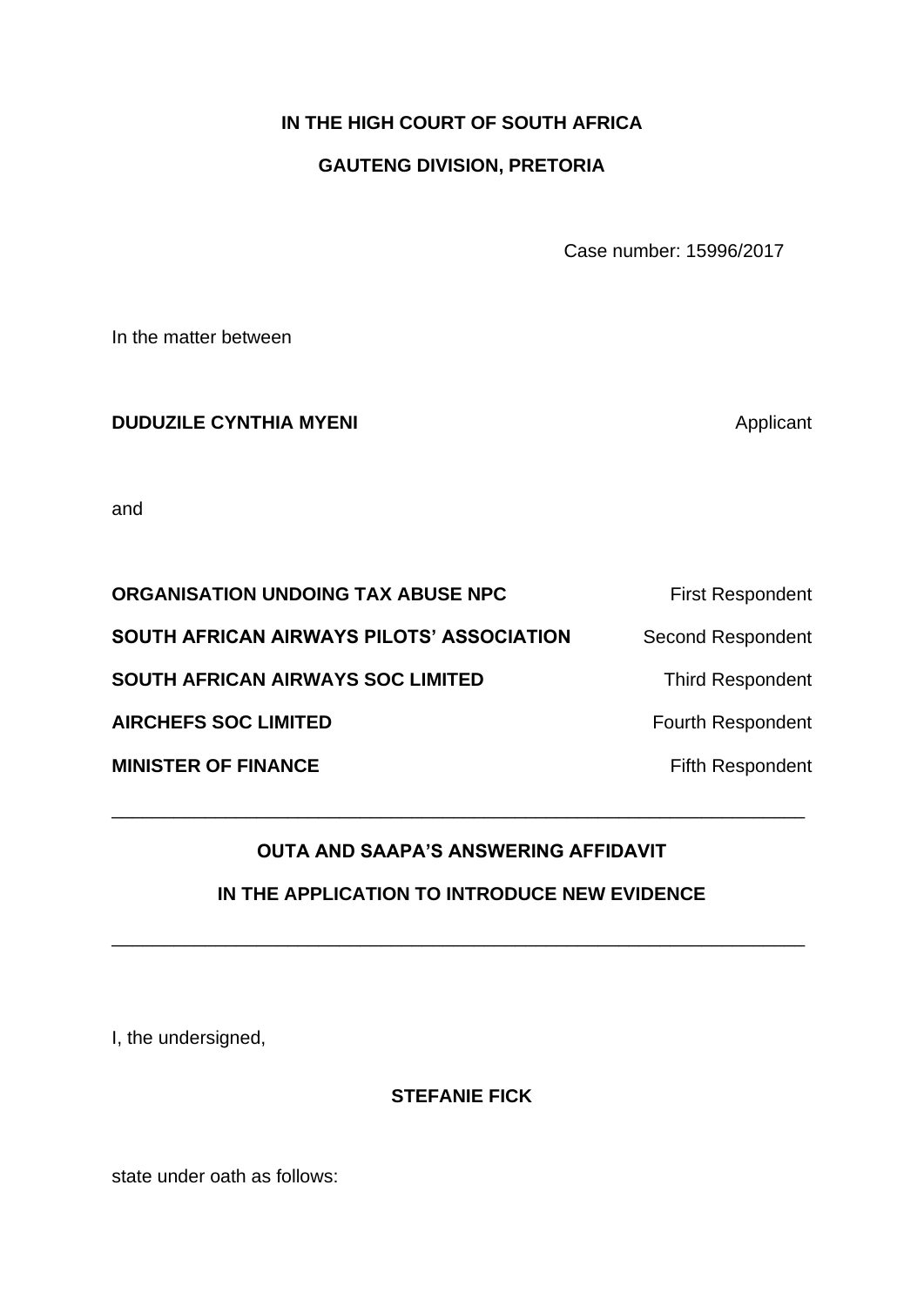# **IN THE HIGH COURT OF SOUTH AFRICA**

## **GAUTENG DIVISION, PRETORIA**

Case number: 15996/2017

In the matter between

### **DUDUZILE CYNTHIA MYENI Applicant**

and

| ORGANISATION UNDOING TAX ABUSE NPC               | <b>First Respondent</b>  |
|--------------------------------------------------|--------------------------|
| <b>SOUTH AFRICAN AIRWAYS PILOTS' ASSOCIATION</b> | <b>Second Respondent</b> |
| <b>SOUTH AFRICAN AIRWAYS SOC LIMITED</b>         | <b>Third Respondent</b>  |
| <b>AIRCHEFS SOC LIMITED</b>                      | <b>Fourth Respondent</b> |
| <b>MINISTER OF FINANCE</b>                       | <b>Fifth Respondent</b>  |

# **OUTA AND SAAPA'S ANSWERING AFFIDAVIT**

\_\_\_\_\_\_\_\_\_\_\_\_\_\_\_\_\_\_\_\_\_\_\_\_\_\_\_\_\_\_\_\_\_\_\_\_\_\_\_\_\_\_\_\_\_\_\_\_\_\_\_\_\_\_\_\_\_\_\_\_\_\_\_\_\_\_\_

## **IN THE APPLICATION TO INTRODUCE NEW EVIDENCE**

\_\_\_\_\_\_\_\_\_\_\_\_\_\_\_\_\_\_\_\_\_\_\_\_\_\_\_\_\_\_\_\_\_\_\_\_\_\_\_\_\_\_\_\_\_\_\_\_\_\_\_\_\_\_\_\_\_\_\_\_\_\_\_\_\_\_\_

I, the undersigned,

**STEFANIE FICK**

state under oath as follows: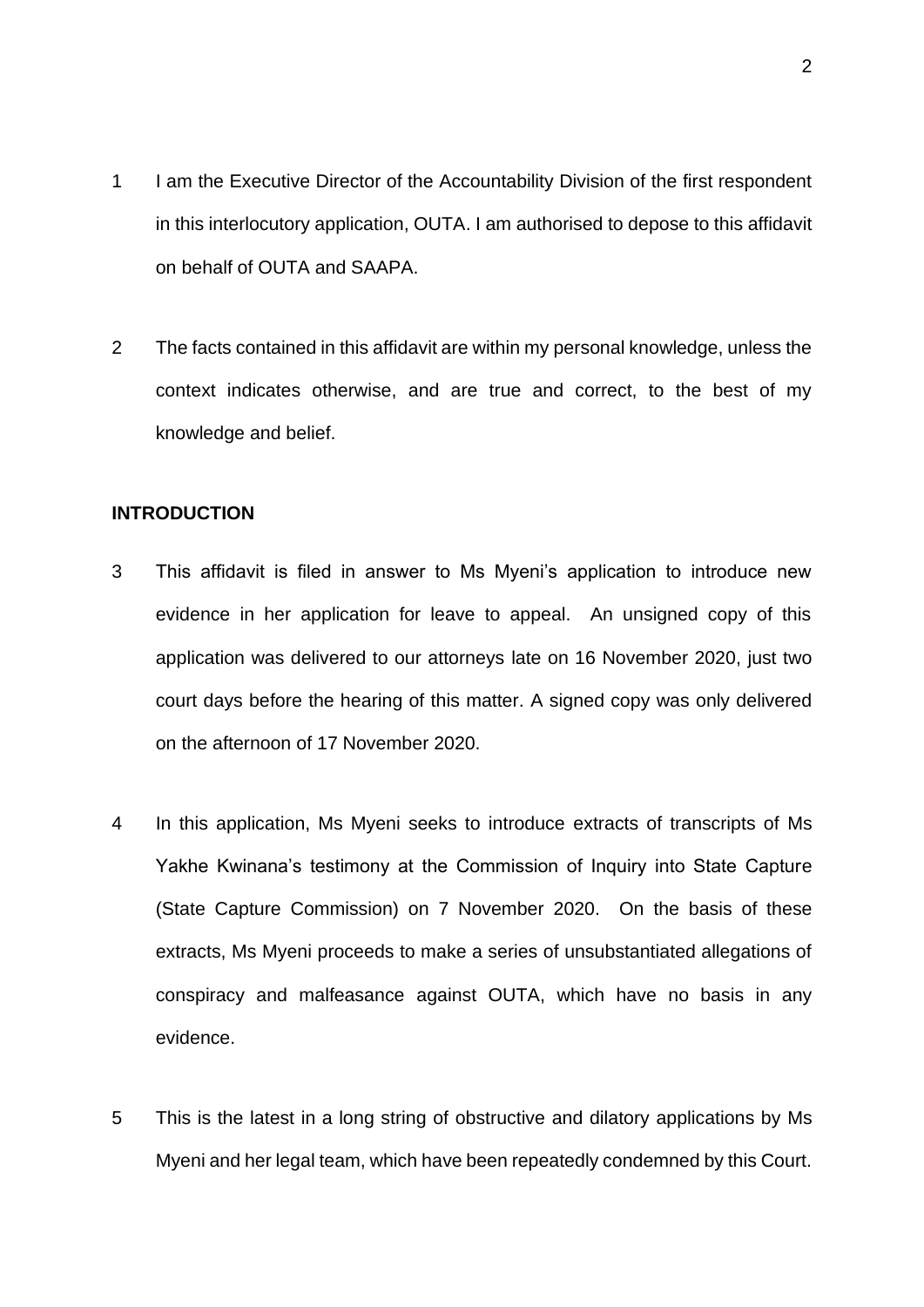- 1 I am the Executive Director of the Accountability Division of the first respondent in this interlocutory application, OUTA. I am authorised to depose to this affidavit on behalf of OUTA and SAAPA.
- 2 The facts contained in this affidavit are within my personal knowledge, unless the context indicates otherwise, and are true and correct, to the best of my knowledge and belief.

#### **INTRODUCTION**

- 3 This affidavit is filed in answer to Ms Myeni's application to introduce new evidence in her application for leave to appeal. An unsigned copy of this application was delivered to our attorneys late on 16 November 2020, just two court days before the hearing of this matter. A signed copy was only delivered on the afternoon of 17 November 2020.
- 4 In this application, Ms Myeni seeks to introduce extracts of transcripts of Ms Yakhe Kwinana's testimony at the Commission of Inquiry into State Capture (State Capture Commission) on 7 November 2020. On the basis of these extracts, Ms Myeni proceeds to make a series of unsubstantiated allegations of conspiracy and malfeasance against OUTA, which have no basis in any evidence.
- 5 This is the latest in a long string of obstructive and dilatory applications by Ms Myeni and her legal team, which have been repeatedly condemned by this Court.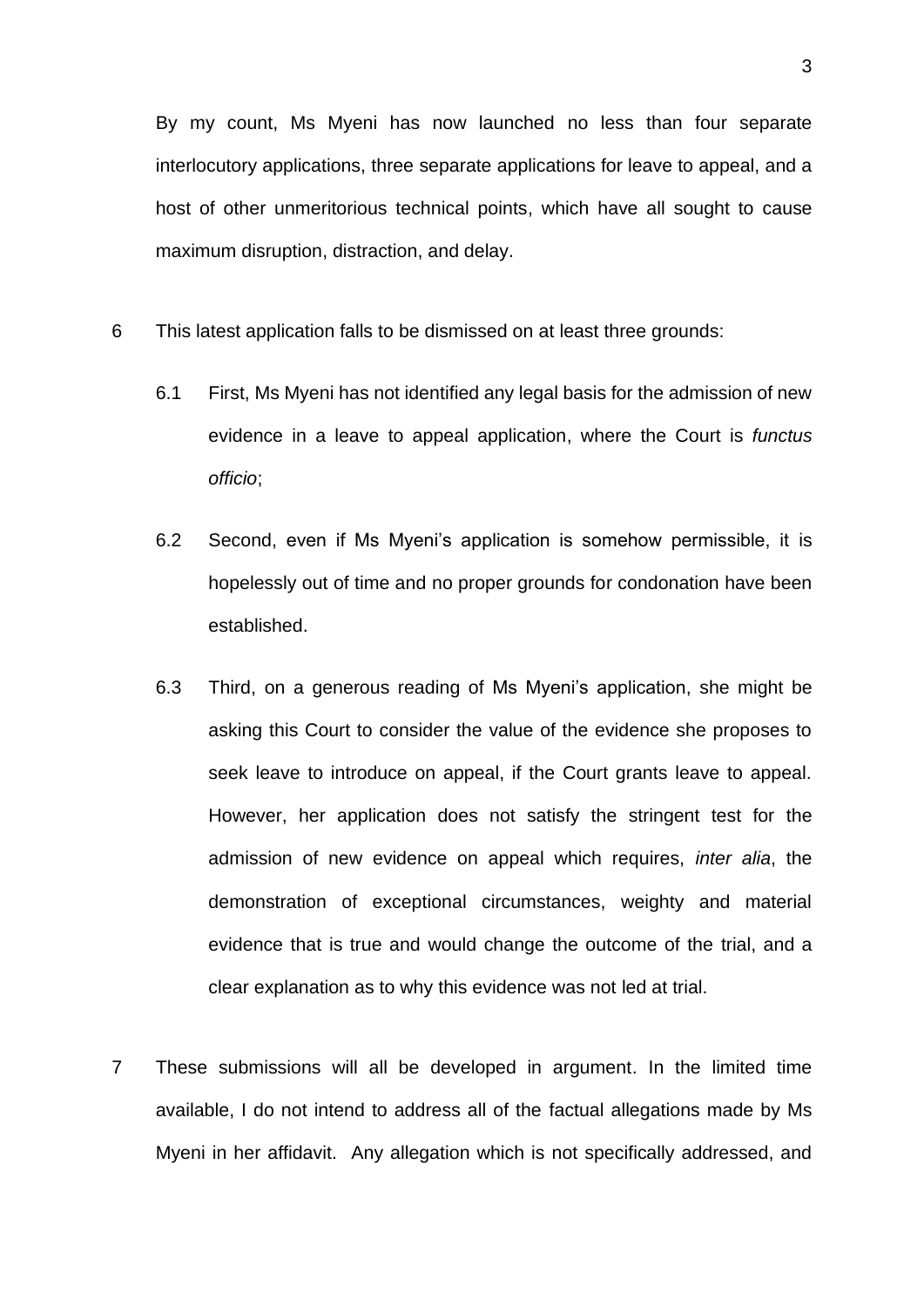By my count, Ms Myeni has now launched no less than four separate interlocutory applications, three separate applications for leave to appeal, and a host of other unmeritorious technical points, which have all sought to cause maximum disruption, distraction, and delay.

- 6 This latest application falls to be dismissed on at least three grounds:
	- 6.1 First, Ms Myeni has not identified any legal basis for the admission of new evidence in a leave to appeal application, where the Court is *functus officio*;
	- 6.2 Second, even if Ms Myeni's application is somehow permissible, it is hopelessly out of time and no proper grounds for condonation have been established.
	- 6.3 Third, on a generous reading of Ms Myeni's application, she might be asking this Court to consider the value of the evidence she proposes to seek leave to introduce on appeal, if the Court grants leave to appeal. However, her application does not satisfy the stringent test for the admission of new evidence on appeal which requires, *inter alia*, the demonstration of exceptional circumstances, weighty and material evidence that is true and would change the outcome of the trial, and a clear explanation as to why this evidence was not led at trial.
- 7 These submissions will all be developed in argument. In the limited time available, I do not intend to address all of the factual allegations made by Ms Myeni in her affidavit. Any allegation which is not specifically addressed, and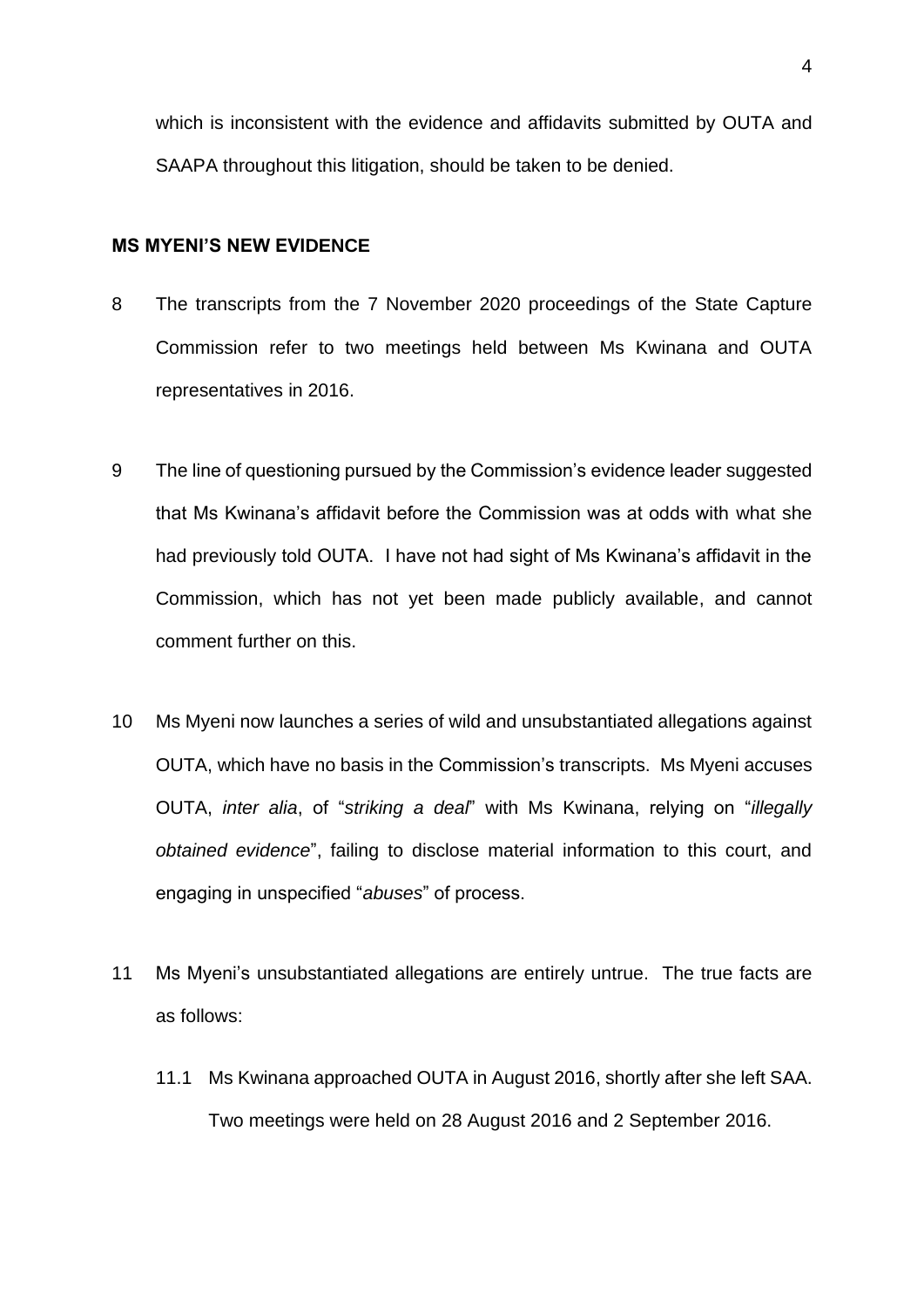which is inconsistent with the evidence and affidavits submitted by OUTA and SAAPA throughout this litigation, should be taken to be denied.

#### **MS MYENI'S NEW EVIDENCE**

- 8 The transcripts from the 7 November 2020 proceedings of the State Capture Commission refer to two meetings held between Ms Kwinana and OUTA representatives in 2016.
- 9 The line of questioning pursued by the Commission's evidence leader suggested that Ms Kwinana's affidavit before the Commission was at odds with what she had previously told OUTA. I have not had sight of Ms Kwinana's affidavit in the Commission, which has not yet been made publicly available, and cannot comment further on this.
- 10 Ms Myeni now launches a series of wild and unsubstantiated allegations against OUTA, which have no basis in the Commission's transcripts. Ms Myeni accuses OUTA, *inter alia*, of "*striking a deal*" with Ms Kwinana, relying on "*illegally obtained evidence*", failing to disclose material information to this court, and engaging in unspecified "*abuses*" of process.
- 11 Ms Myeni's unsubstantiated allegations are entirely untrue. The true facts are as follows:
	- 11.1 Ms Kwinana approached OUTA in August 2016, shortly after she left SAA. Two meetings were held on 28 August 2016 and 2 September 2016.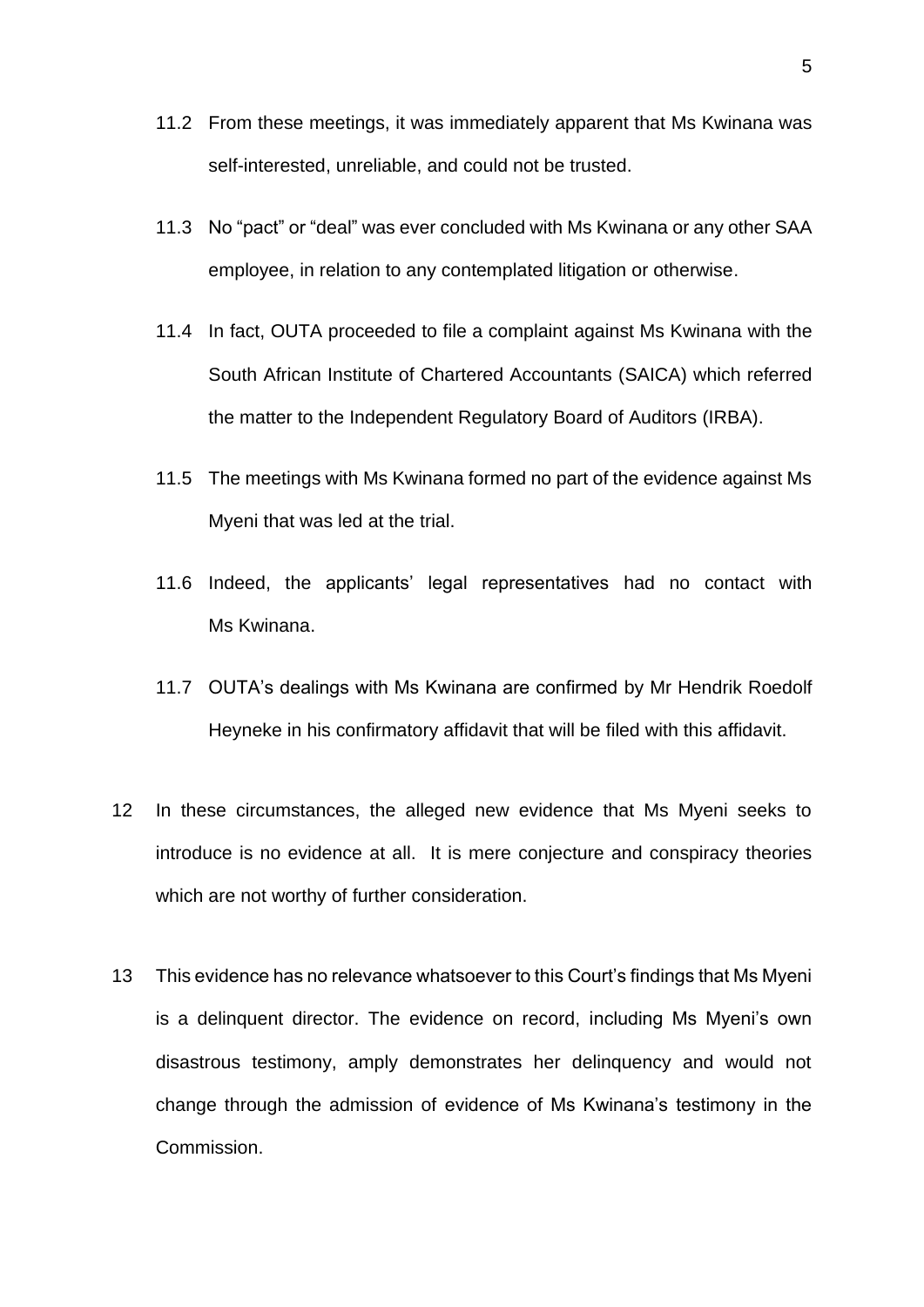- 11.2 From these meetings, it was immediately apparent that Ms Kwinana was self-interested, unreliable, and could not be trusted.
- 11.3 No "pact" or "deal" was ever concluded with Ms Kwinana or any other SAA employee, in relation to any contemplated litigation or otherwise.
- 11.4 In fact, OUTA proceeded to file a complaint against Ms Kwinana with the South African Institute of Chartered Accountants (SAICA) which referred the matter to the Independent Regulatory Board of Auditors (IRBA).
- 11.5 The meetings with Ms Kwinana formed no part of the evidence against Ms Myeni that was led at the trial.
- 11.6 Indeed, the applicants' legal representatives had no contact with Ms Kwinana.
- 11.7 OUTA's dealings with Ms Kwinana are confirmed by Mr Hendrik Roedolf Heyneke in his confirmatory affidavit that will be filed with this affidavit.
- 12 In these circumstances, the alleged new evidence that Ms Myeni seeks to introduce is no evidence at all. It is mere conjecture and conspiracy theories which are not worthy of further consideration.
- 13 This evidence has no relevance whatsoever to this Court's findings that Ms Myeni is a delinquent director. The evidence on record, including Ms Myeni's own disastrous testimony, amply demonstrates her delinquency and would not change through the admission of evidence of Ms Kwinana's testimony in the Commission.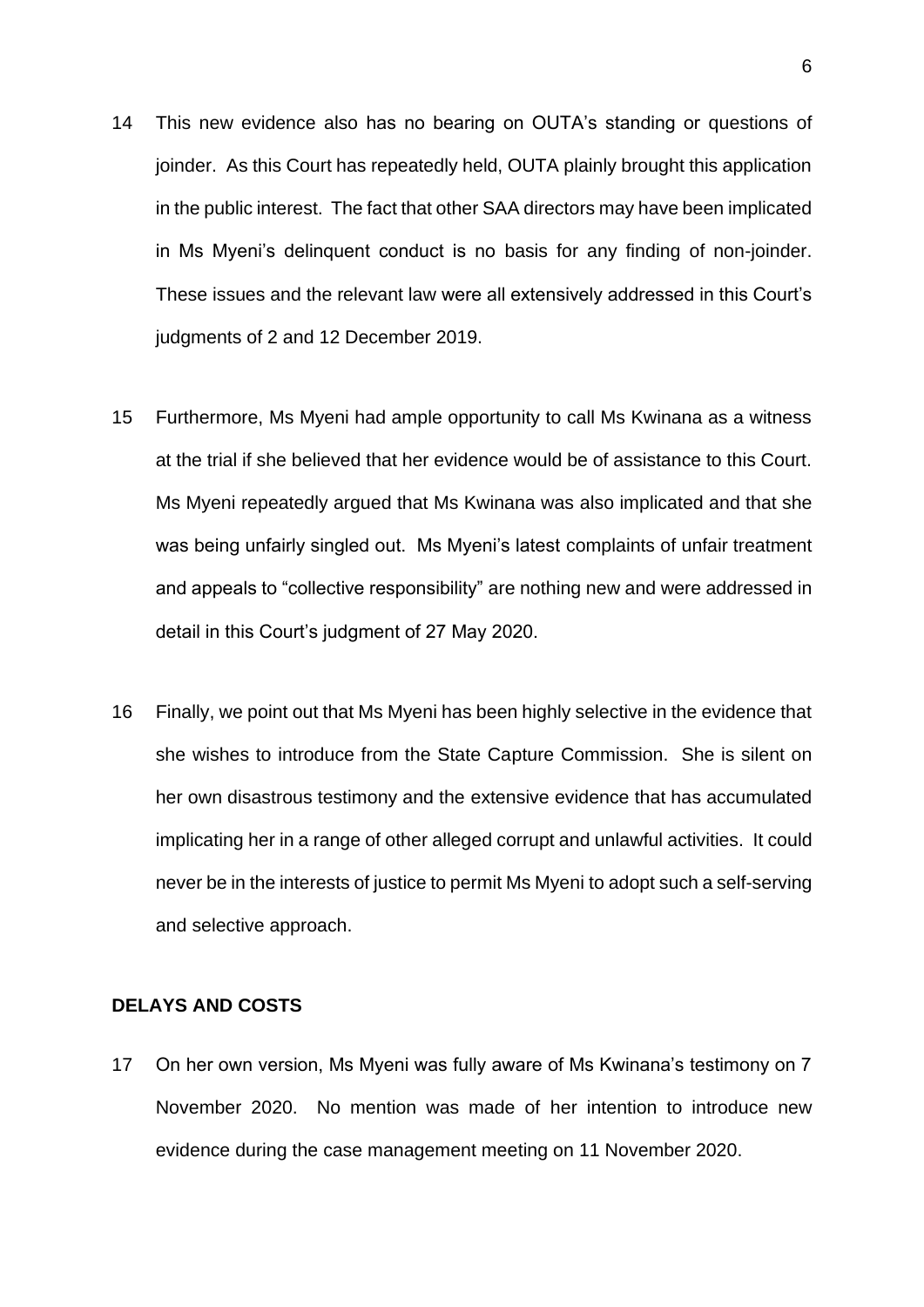- 14 This new evidence also has no bearing on OUTA's standing or questions of joinder. As this Court has repeatedly held, OUTA plainly brought this application in the public interest. The fact that other SAA directors may have been implicated in Ms Myeni's delinquent conduct is no basis for any finding of non-joinder. These issues and the relevant law were all extensively addressed in this Court's judgments of 2 and 12 December 2019.
- 15 Furthermore, Ms Myeni had ample opportunity to call Ms Kwinana as a witness at the trial if she believed that her evidence would be of assistance to this Court. Ms Myeni repeatedly argued that Ms Kwinana was also implicated and that she was being unfairly singled out. Ms Myeni's latest complaints of unfair treatment and appeals to "collective responsibility" are nothing new and were addressed in detail in this Court's judgment of 27 May 2020.
- 16 Finally, we point out that Ms Myeni has been highly selective in the evidence that she wishes to introduce from the State Capture Commission. She is silent on her own disastrous testimony and the extensive evidence that has accumulated implicating her in a range of other alleged corrupt and unlawful activities. It could never be in the interests of justice to permit Ms Myeni to adopt such a self-serving and selective approach.

#### **DELAYS AND COSTS**

17 On her own version, Ms Myeni was fully aware of Ms Kwinana's testimony on 7 November 2020. No mention was made of her intention to introduce new evidence during the case management meeting on 11 November 2020.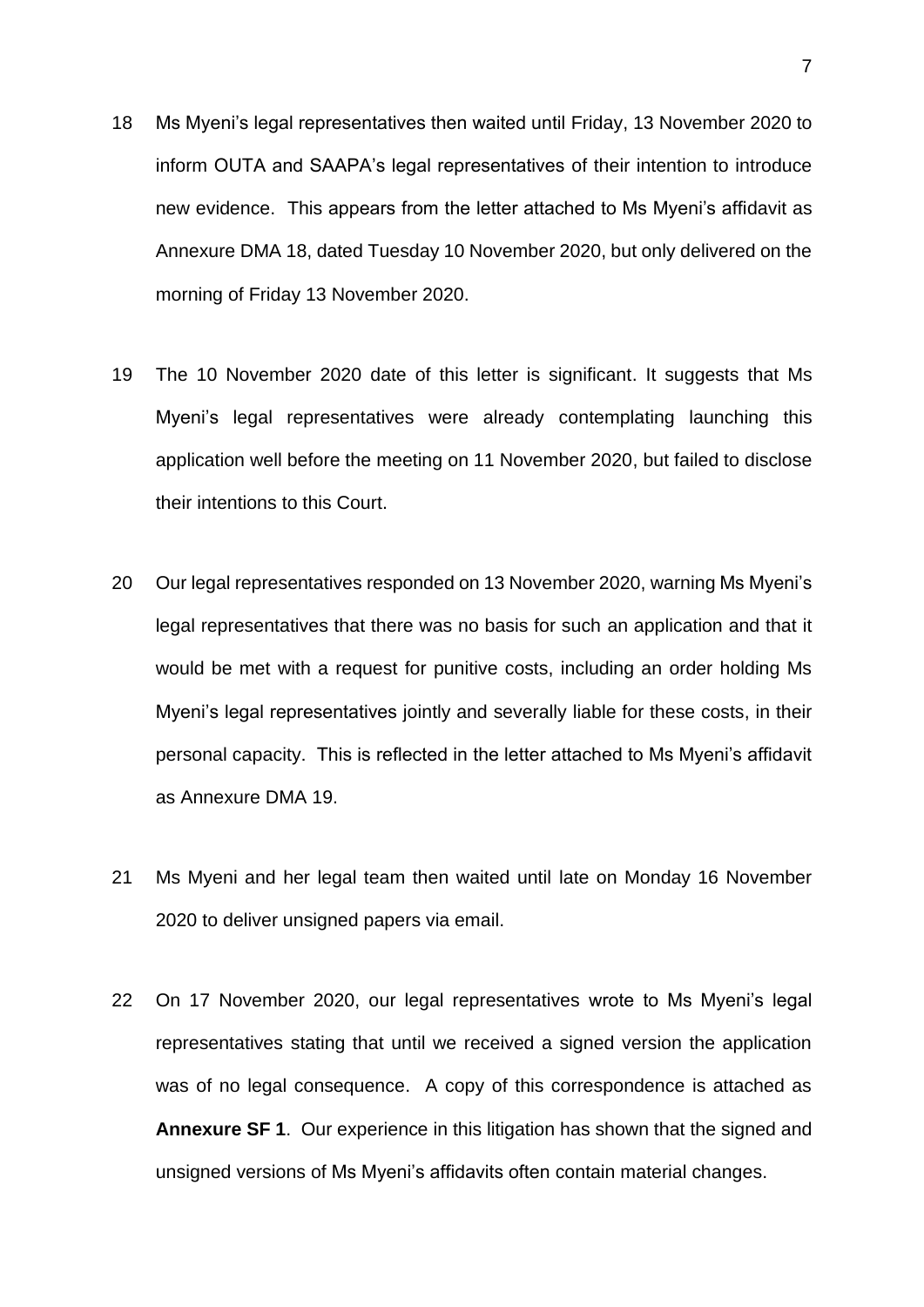- 18 Ms Myeni's legal representatives then waited until Friday, 13 November 2020 to inform OUTA and SAAPA's legal representatives of their intention to introduce new evidence. This appears from the letter attached to Ms Myeni's affidavit as Annexure DMA 18, dated Tuesday 10 November 2020, but only delivered on the morning of Friday 13 November 2020.
- 19 The 10 November 2020 date of this letter is significant. It suggests that Ms Myeni's legal representatives were already contemplating launching this application well before the meeting on 11 November 2020, but failed to disclose their intentions to this Court.
- 20 Our legal representatives responded on 13 November 2020, warning Ms Myeni's legal representatives that there was no basis for such an application and that it would be met with a request for punitive costs, including an order holding Ms Myeni's legal representatives jointly and severally liable for these costs, in their personal capacity. This is reflected in the letter attached to Ms Myeni's affidavit as Annexure DMA 19.
- 21 Ms Myeni and her legal team then waited until late on Monday 16 November 2020 to deliver unsigned papers via email.
- 22 On 17 November 2020, our legal representatives wrote to Ms Myeni's legal representatives stating that until we received a signed version the application was of no legal consequence. A copy of this correspondence is attached as **Annexure SF 1**. Our experience in this litigation has shown that the signed and unsigned versions of Ms Myeni's affidavits often contain material changes.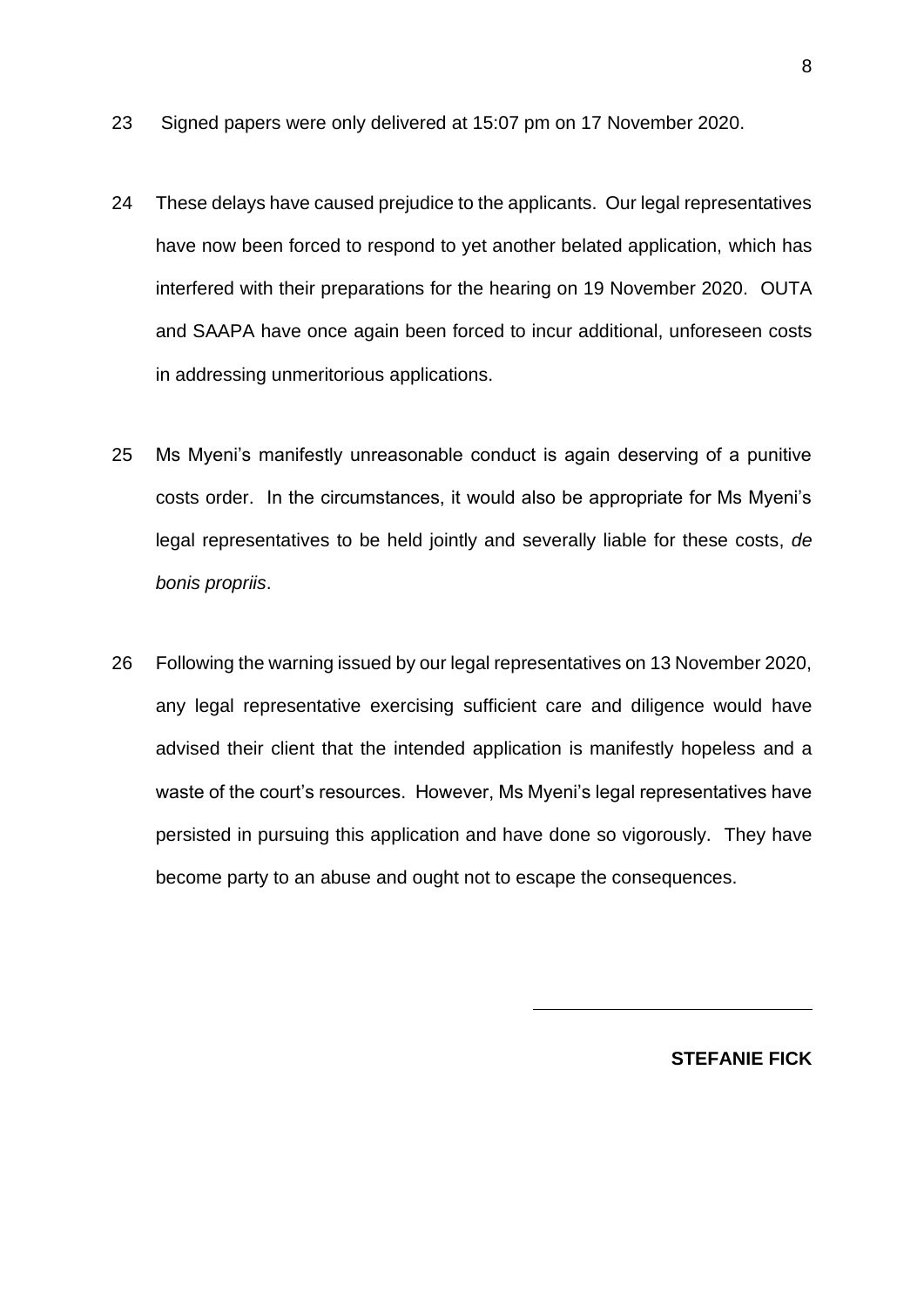- 23 Signed papers were only delivered at 15:07 pm on 17 November 2020.
- 24 These delays have caused prejudice to the applicants. Our legal representatives have now been forced to respond to yet another belated application, which has interfered with their preparations for the hearing on 19 November 2020. OUTA and SAAPA have once again been forced to incur additional, unforeseen costs in addressing unmeritorious applications.
- 25 Ms Myeni's manifestly unreasonable conduct is again deserving of a punitive costs order. In the circumstances, it would also be appropriate for Ms Myeni's legal representatives to be held jointly and severally liable for these costs, *de bonis propriis*.
- 26 Following the warning issued by our legal representatives on 13 November 2020, any legal representative exercising sufficient care and diligence would have advised their client that the intended application is manifestly hopeless and a waste of the court's resources. However, Ms Myeni's legal representatives have persisted in pursuing this application and have done so vigorously. They have become party to an abuse and ought not to escape the consequences.

**STEFANIE FICK**